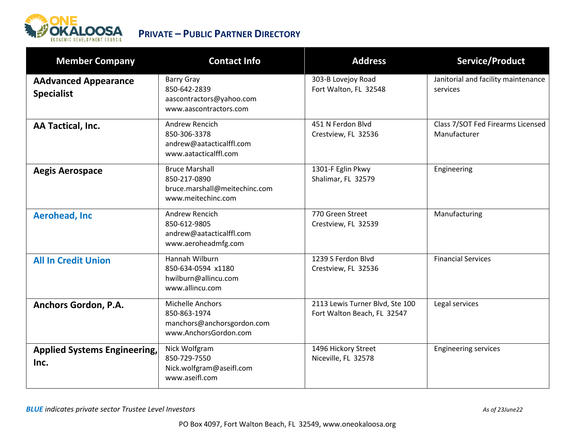

| <b>Member Company</b>                            | <b>Contact Info</b>                                                                            | <b>Address</b>                                                 | Service/Product                                   |
|--------------------------------------------------|------------------------------------------------------------------------------------------------|----------------------------------------------------------------|---------------------------------------------------|
| <b>AAdvanced Appearance</b><br><b>Specialist</b> | <b>Barry Gray</b><br>850-642-2839<br>aascontractors@yahoo.com<br>www.aascontractors.com        | 303-B Lovejoy Road<br>Fort Walton, FL 32548                    | Janitorial and facility maintenance<br>services   |
| AA Tactical, Inc.                                | Andrew Rencich<br>850-306-3378<br>andrew@aatacticalffl.com<br>www.aatacticalffl.com            | 451 N Ferdon Blvd<br>Crestview, FL 32536                       | Class 7/SOT Fed Firearms Licensed<br>Manufacturer |
| <b>Aegis Aerospace</b>                           | <b>Bruce Marshall</b><br>850-217-0890<br>bruce.marshall@meitechinc.com<br>www.meitechinc.com   | 1301-F Eglin Pkwy<br>Shalimar, FL 32579                        | Engineering                                       |
| <b>Aerohead, Inc.</b>                            | Andrew Rencich<br>850-612-9805<br>andrew@aatacticalffl.com<br>www.aeroheadmfg.com              | 770 Green Street<br>Crestview, FL 32539                        | Manufacturing                                     |
| <b>All In Credit Union</b>                       | Hannah Wilburn<br>850-634-0594 x1180<br>hwilburn@allincu.com<br>www.allincu.com                | 1239 S Ferdon Blvd<br>Crestview, FL 32536                      | <b>Financial Services</b>                         |
| Anchors Gordon, P.A.                             | <b>Michelle Anchors</b><br>850-863-1974<br>manchors@anchorsgordon.com<br>www.AnchorsGordon.com | 2113 Lewis Turner Blvd, Ste 100<br>Fort Walton Beach, FL 32547 | Legal services                                    |
| <b>Applied Systems Engineering,</b><br>Inc.      | Nick Wolfgram<br>850-729-7550<br>Nick.wolfgram@aseifl.com<br>www.aseifl.com                    | 1496 Hickory Street<br>Niceville, FL 32578                     | <b>Engineering services</b>                       |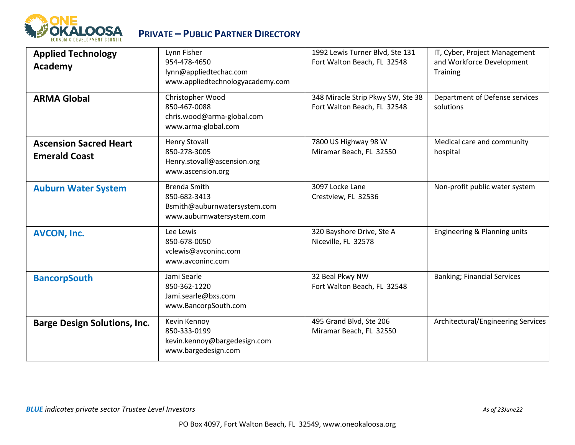

| <b>Applied Technology</b><br><b>Academy</b>           | Lynn Fisher<br>954-478-4650<br>lynn@appliedtechac.com<br>www.appliedtechnologyacademy.com        | 1992 Lewis Turner Blvd, Ste 131<br>Fort Walton Beach, FL 32548   | IT, Cyber, Project Management<br>and Workforce Development<br><b>Training</b> |
|-------------------------------------------------------|--------------------------------------------------------------------------------------------------|------------------------------------------------------------------|-------------------------------------------------------------------------------|
| <b>ARMA Global</b>                                    | Christopher Wood<br>850-467-0088<br>chris.wood@arma-global.com<br>www.arma-global.com            | 348 Miracle Strip Pkwy SW, Ste 38<br>Fort Walton Beach, FL 32548 | Department of Defense services<br>solutions                                   |
| <b>Ascension Sacred Heart</b><br><b>Emerald Coast</b> | <b>Henry Stovall</b><br>850-278-3005<br>Henry.stovall@ascension.org<br>www.ascension.org         | 7800 US Highway 98 W<br>Miramar Beach, FL 32550                  | Medical care and community<br>hospital                                        |
| <b>Auburn Water System</b>                            | <b>Brenda Smith</b><br>850-682-3413<br>Bsmith@auburnwatersystem.com<br>www.auburnwatersystem.com | 3097 Locke Lane<br>Crestview, FL 32536                           | Non-profit public water system                                                |
| <b>AVCON, Inc.</b>                                    | Lee Lewis<br>850-678-0050<br>vclewis@avconinc.com<br>www.avconinc.com                            | 320 Bayshore Drive, Ste A<br>Niceville, FL 32578                 | Engineering & Planning units                                                  |
| <b>BancorpSouth</b>                                   | Jami Searle<br>850-362-1220<br>Jami.searle@bxs.com<br>www.BancorpSouth.com                       | 32 Beal Pkwy NW<br>Fort Walton Beach, FL 32548                   | <b>Banking; Financial Services</b>                                            |
| <b>Barge Design Solutions, Inc.</b>                   | Kevin Kennoy<br>850-333-0199<br>kevin.kennoy@bargedesign.com<br>www.bargedesign.com              | 495 Grand Blvd, Ste 206<br>Miramar Beach, FL 32550               | Architectural/Engineering Services                                            |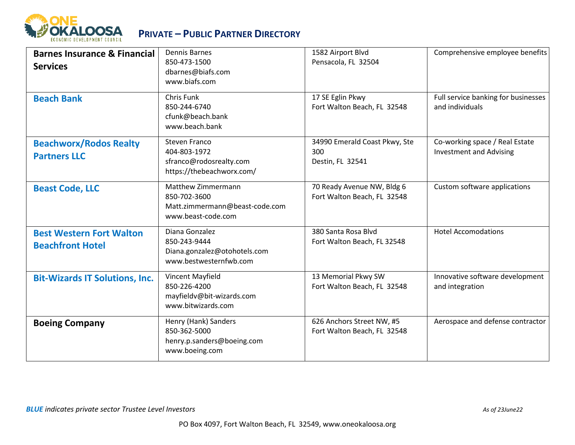

| <b>Barnes Insurance &amp; Financial</b><br><b>Services</b> | <b>Dennis Barnes</b><br>850-473-1500<br>dbarnes@biafs.com<br>www.biafs.com                 | 1582 Airport Blvd<br>Pensacola, FL 32504                  | Comprehensive employee benefits                                  |
|------------------------------------------------------------|--------------------------------------------------------------------------------------------|-----------------------------------------------------------|------------------------------------------------------------------|
| <b>Beach Bank</b>                                          | <b>Chris Funk</b><br>850-244-6740<br>cfunk@beach.bank<br>www.beach.bank                    | 17 SE Eglin Pkwy<br>Fort Walton Beach, FL 32548           | Full service banking for businesses<br>and individuals           |
| <b>Beachworx/Rodos Realty</b><br><b>Partners LLC</b>       | Steven Franco<br>404-803-1972<br>sfranco@rodosrealty.com<br>https://thebeachworx.com/      | 34990 Emerald Coast Pkwy, Ste<br>300<br>Destin, FL 32541  | Co-working space / Real Estate<br><b>Investment and Advising</b> |
| <b>Beast Code, LLC</b>                                     | Matthew Zimmermann<br>850-702-3600<br>Matt.zimmermann@beast-code.com<br>www.beast-code.com | 70 Ready Avenue NW, Bldg 6<br>Fort Walton Beach, FL 32548 | Custom software applications                                     |
| <b>Best Western Fort Walton</b><br><b>Beachfront Hotel</b> | Diana Gonzalez<br>850-243-9444<br>Diana.gonzalez@otohotels.com<br>www.bestwesternfwb.com   | 380 Santa Rosa Blvd<br>Fort Walton Beach, FL 32548        | <b>Hotel Accomodations</b>                                       |
| <b>Bit-Wizards IT Solutions, Inc.</b>                      | Vincent Mayfield<br>850-226-4200<br>mayfieldv@bit-wizards.com<br>www.bitwizards.com        | 13 Memorial Pkwy SW<br>Fort Walton Beach, FL 32548        | Innovative software development<br>and integration               |
| <b>Boeing Company</b>                                      | Henry (Hank) Sanders<br>850-362-5000<br>henry.p.sanders@boeing.com<br>www.boeing.com       | 626 Anchors Street NW, #5<br>Fort Walton Beach, FL 32548  | Aerospace and defense contractor                                 |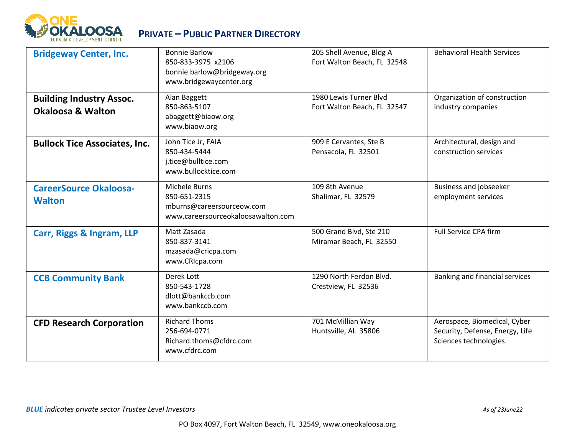

| <b>Bridgeway Center, Inc.</b>                                   | <b>Bonnie Barlow</b><br>850-833-3975 x2106<br>bonnie.barlow@bridgeway.org<br>www.bridgewaycenter.org | 205 Shell Avenue, Bldg A<br>Fort Walton Beach, FL 32548 | <b>Behavioral Health Services</b>                                                         |
|-----------------------------------------------------------------|------------------------------------------------------------------------------------------------------|---------------------------------------------------------|-------------------------------------------------------------------------------------------|
| <b>Building Industry Assoc.</b><br><b>Okaloosa &amp; Walton</b> | Alan Baggett<br>850-863-5107<br>abaggett@biaow.org<br>www.biaow.org                                  | 1980 Lewis Turner Blvd<br>Fort Walton Beach, FL 32547   | Organization of construction<br>industry companies                                        |
| <b>Bullock Tice Associates, Inc.</b>                            | John Tice Jr, FAIA<br>850-434-5444<br>j.tice@bulltice.com<br>www.bullocktice.com                     | 909 E Cervantes, Ste B<br>Pensacola, FL 32501           | Architectural, design and<br>construction services                                        |
| <b>CareerSource Okaloosa-</b><br><b>Walton</b>                  | Michele Burns<br>850-651-2315<br>mburns@careersourceow.com<br>www.careersourceokaloosawalton.com     | 109 8th Avenue<br>Shalimar, FL 32579                    | Business and jobseeker<br>employment services                                             |
| Carr, Riggs & Ingram, LLP                                       | Matt Zasada<br>850-837-3141<br>mzasada@cricpa.com<br>www.CRIcpa.com                                  | 500 Grand Blvd, Ste 210<br>Miramar Beach, FL 32550      | <b>Full Service CPA firm</b>                                                              |
| <b>CCB Community Bank</b>                                       | Derek Lott<br>850-543-1728<br>dlott@bankccb.com<br>www.bankccb.com                                   | 1290 North Ferdon Blvd.<br>Crestview, FL 32536          | Banking and financial services                                                            |
| <b>CFD Research Corporation</b>                                 | <b>Richard Thoms</b><br>256-694-0771<br>Richard.thoms@cfdrc.com<br>www.cfdrc.com                     | 701 McMillian Way<br>Huntsville, AL 35806               | Aerospace, Biomedical, Cyber<br>Security, Defense, Energy, Life<br>Sciences technologies. |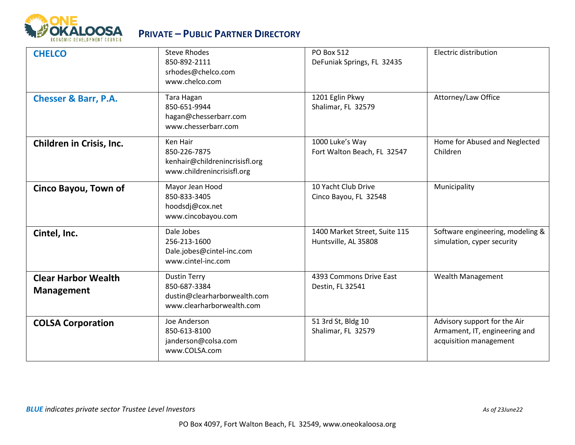

| <b>CHELCO</b>                                   | <b>Steve Rhodes</b><br>850-892-2111<br>srhodes@chelco.com<br>www.chelco.com                      | <b>PO Box 512</b><br>DeFuniak Springs, FL 32435       | Electric distribution                                                                   |
|-------------------------------------------------|--------------------------------------------------------------------------------------------------|-------------------------------------------------------|-----------------------------------------------------------------------------------------|
| <b>Chesser &amp; Barr, P.A.</b>                 | Tara Hagan<br>850-651-9944<br>hagan@chesserbarr.com<br>www.chesserbarr.com                       | 1201 Eglin Pkwy<br>Shalimar, FL 32579                 | Attorney/Law Office                                                                     |
| <b>Children in Crisis, Inc.</b>                 | Ken Hair<br>850-226-7875<br>kenhair@childrenincrisisfl.org<br>www.childrenincrisisfl.org         | 1000 Luke's Way<br>Fort Walton Beach, FL 32547        | Home for Abused and Neglected<br>Children                                               |
| Cinco Bayou, Town of                            | Mayor Jean Hood<br>850-833-3405<br>hoodsdj@cox.net<br>www.cincobayou.com                         | 10 Yacht Club Drive<br>Cinco Bayou, FL 32548          | Municipality                                                                            |
| Cintel, Inc.                                    | Dale Jobes<br>256-213-1600<br>Dale.jobes@cintel-inc.com<br>www.cintel-inc.com                    | 1400 Market Street, Suite 115<br>Huntsville, AL 35808 | Software engineering, modeling &<br>simulation, cyper security                          |
| <b>Clear Harbor Wealth</b><br><b>Management</b> | <b>Dustin Terry</b><br>850-687-3384<br>dustin@clearharborwealth.com<br>www.clearharborwealth.com | 4393 Commons Drive East<br>Destin, FL 32541           | <b>Wealth Management</b>                                                                |
| <b>COLSA Corporation</b>                        | Joe Anderson<br>850-613-8100<br>janderson@colsa.com<br>www.COLSA.com                             | 51 3rd St, Bldg 10<br>Shalimar, FL 32579              | Advisory support for the Air<br>Armament, IT, engineering and<br>acquisition management |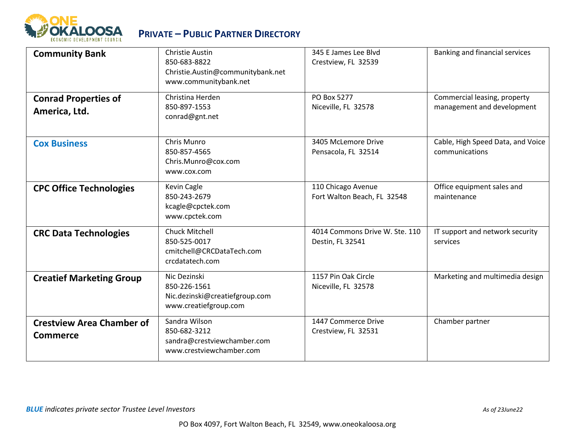

| <b>Community Bank</b>                               | Christie Austin<br>850-683-8822<br>Christie.Austin@communitybank.net<br>www.communitybank.net | 345 E James Lee Blvd<br>Crestview, FL 32539        | Banking and financial services                             |
|-----------------------------------------------------|-----------------------------------------------------------------------------------------------|----------------------------------------------------|------------------------------------------------------------|
| <b>Conrad Properties of</b><br>America, Ltd.        | Christina Herden<br>850-897-1553<br>conrad@gnt.net                                            | PO Box 5277<br>Niceville, FL 32578                 | Commercial leasing, property<br>management and development |
| <b>Cox Business</b>                                 | Chris Munro<br>850-857-4565<br>Chris.Munro@cox.com<br>www.cox.com                             | 3405 McLemore Drive<br>Pensacola, FL 32514         | Cable, High Speed Data, and Voice<br>communications        |
| <b>CPC Office Technologies</b>                      | Kevin Cagle<br>850-243-2679<br>kcagle@cpctek.com<br>www.cpctek.com                            | 110 Chicago Avenue<br>Fort Walton Beach, FL 32548  | Office equipment sales and<br>maintenance                  |
| <b>CRC Data Technologies</b>                        | <b>Chuck Mitchell</b><br>850-525-0017<br>cmitchell@CRCDataTech.com<br>crcdatatech.com         | 4014 Commons Drive W. Ste. 110<br>Destin, FL 32541 | IT support and network security<br>services                |
| <b>Creatief Marketing Group</b>                     | Nic Dezinski<br>850-226-1561<br>Nic.dezinski@creatiefgroup.com<br>www.creatiefgroup.com       | 1157 Pin Oak Circle<br>Niceville, FL 32578         | Marketing and multimedia design                            |
| <b>Crestview Area Chamber of</b><br><b>Commerce</b> | Sandra Wilson<br>850-682-3212<br>sandra@crestviewchamber.com<br>www.crestviewchamber.com      | 1447 Commerce Drive<br>Crestview, FL 32531         | Chamber partner                                            |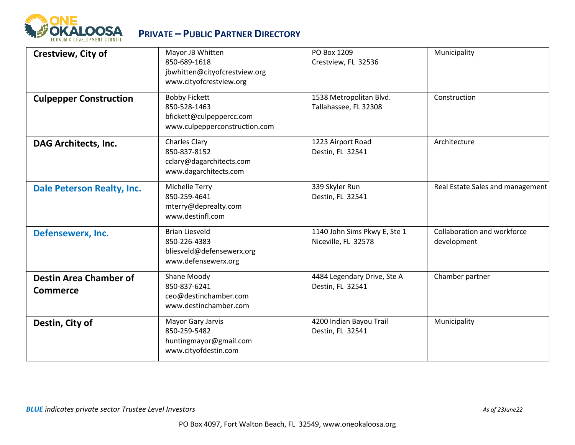

| Crestview, City of                               | Mayor JB Whitten<br>850-689-1618<br>jbwhitten@cityofcrestview.org<br>www.cityofcrestview.org      | PO Box 1209<br>Crestview, FL 32536                  | Municipality                               |
|--------------------------------------------------|---------------------------------------------------------------------------------------------------|-----------------------------------------------------|--------------------------------------------|
| <b>Culpepper Construction</b>                    | <b>Bobby Fickett</b><br>850-528-1463<br>bfickett@culpeppercc.com<br>www.culpepperconstruction.com | 1538 Metropolitan Blvd.<br>Tallahassee, FL 32308    | Construction                               |
| <b>DAG Architects, Inc.</b>                      | <b>Charles Clary</b><br>850-837-8152<br>cclary@dagarchitects.com<br>www.dagarchitects.com         | 1223 Airport Road<br>Destin, FL 32541               | Architecture                               |
| <b>Dale Peterson Realty, Inc.</b>                | Michelle Terry<br>850-259-4641<br>mterry@deprealty.com<br>www.destinfl.com                        | 339 Skyler Run<br>Destin, FL 32541                  | Real Estate Sales and management           |
| Defensewerx, Inc.                                | <b>Brian Liesveld</b><br>850-226-4383<br>bliesveld@defensewerx.org<br>www.defensewerx.org         | 1140 John Sims Pkwy E, Ste 1<br>Niceville, FL 32578 | Collaboration and workforce<br>development |
| <b>Destin Area Chamber of</b><br><b>Commerce</b> | Shane Moody<br>850-837-6241<br>ceo@destinchamber.com<br>www.destinchamber.com                     | 4484 Legendary Drive, Ste A<br>Destin, FL 32541     | Chamber partner                            |
| Destin, City of                                  | Mayor Gary Jarvis<br>850-259-5482<br>huntingmayor@gmail.com<br>www.cityofdestin.com               | 4200 Indian Bayou Trail<br>Destin, FL 32541         | Municipality                               |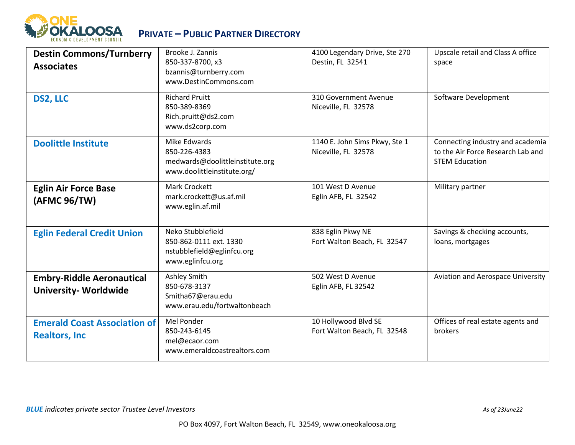

| <b>Destin Commons/Turnberry</b><br><b>Associates</b>            | Brooke J. Zannis<br>850-337-8700, x3<br>bzannis@turnberry.com<br>www.DestinCommons.com         | 4100 Legendary Drive, Ste 270<br>Destin, FL 32541    | Upscale retail and Class A office<br>space                                                     |
|-----------------------------------------------------------------|------------------------------------------------------------------------------------------------|------------------------------------------------------|------------------------------------------------------------------------------------------------|
| DS2, LLC                                                        | <b>Richard Pruitt</b><br>850-389-8369<br>Rich.pruitt@ds2.com<br>www.ds2corp.com                | 310 Government Avenue<br>Niceville, FL 32578         | Software Development                                                                           |
| <b>Doolittle Institute</b>                                      | Mike Edwards<br>850-226-4383<br>medwards@doolittleinstitute.org<br>www.doolittleinstitute.org/ | 1140 E. John Sims Pkwy, Ste 1<br>Niceville, FL 32578 | Connecting industry and academia<br>to the Air Force Research Lab and<br><b>STEM Education</b> |
| <b>Eglin Air Force Base</b><br>(AFMC 96/TW)                     | <b>Mark Crockett</b><br>mark.crockett@us.af.mil<br>www.eglin.af.mil                            | 101 West D Avenue<br>Eglin AFB, FL 32542             | Military partner                                                                               |
| <b>Eglin Federal Credit Union</b>                               | Neko Stubblefield<br>850-862-0111 ext. 1330<br>nstubblefield@eglinfcu.org<br>www.eglinfcu.org  | 838 Eglin Pkwy NE<br>Fort Walton Beach, FL 32547     | Savings & checking accounts,<br>loans, mortgages                                               |
| <b>Embry-Riddle Aeronautical</b><br><b>University-Worldwide</b> | <b>Ashley Smith</b><br>850-678-3137<br>Smitha67@erau.edu<br>www.erau.edu/fortwaltonbeach       | 502 West D Avenue<br>Eglin AFB, FL 32542             | <b>Aviation and Aerospace University</b>                                                       |
| <b>Emerald Coast Association of</b><br><b>Realtors, Inc.</b>    | Mel Ponder<br>850-243-6145<br>mel@ecaor.com<br>www.emeraldcoastrealtors.com                    | 10 Hollywood Blvd SE<br>Fort Walton Beach, FL 32548  | Offices of real estate agents and<br>brokers                                                   |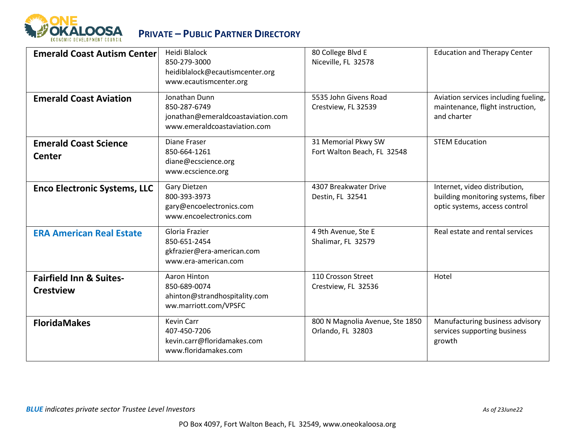

| <b>Emerald Coast Autism Center</b>                     | <b>Heidi Blalock</b><br>850-279-3000<br>heidiblalock@ecautismcenter.org<br>www.ecautismcenter.org  | 80 College Blvd E<br>Niceville, FL 32578             | <b>Education and Therapy Center</b>                                                                  |
|--------------------------------------------------------|----------------------------------------------------------------------------------------------------|------------------------------------------------------|------------------------------------------------------------------------------------------------------|
| <b>Emerald Coast Aviation</b>                          | Jonathan Dunn<br>850-287-6749<br>jonathan@emeraldcoastaviation.com<br>www.emeraldcoastaviation.com | 5535 John Givens Road<br>Crestview, FL 32539         | Aviation services including fueling,<br>maintenance, flight instruction,<br>and charter              |
| <b>Emerald Coast Science</b><br><b>Center</b>          | Diane Fraser<br>850-664-1261<br>diane@ecscience.org<br>www.ecscience.org                           | 31 Memorial Pkwy SW<br>Fort Walton Beach, FL 32548   | <b>STEM Education</b>                                                                                |
| <b>Enco Electronic Systems, LLC</b>                    | Gary Dietzen<br>800-393-3973<br>gary@encoelectronics.com<br>www.encoelectronics.com                | 4307 Breakwater Drive<br>Destin, FL 32541            | Internet, video distribution,<br>building monitoring systems, fiber<br>optic systems, access control |
| <b>ERA American Real Estate</b>                        | Gloria Frazier<br>850-651-2454<br>gkfrazier@era-american.com<br>www.era-american.com               | 4 9th Avenue, Ste E<br>Shalimar, FL 32579            | Real estate and rental services                                                                      |
| <b>Fairfield Inn &amp; Suites-</b><br><b>Crestview</b> | Aaron Hinton<br>850-689-0074<br>ahinton@strandhospitality.com<br>ww.marriott.com/VPSFC             | 110 Crosson Street<br>Crestview, FL 32536            | Hotel                                                                                                |
| <b>FloridaMakes</b>                                    | Kevin Carr<br>407-450-7206<br>kevin.carr@floridamakes.com<br>www.floridamakes.com                  | 800 N Magnolia Avenue, Ste 1850<br>Orlando, FL 32803 | Manufacturing business advisory<br>services supporting business<br>growth                            |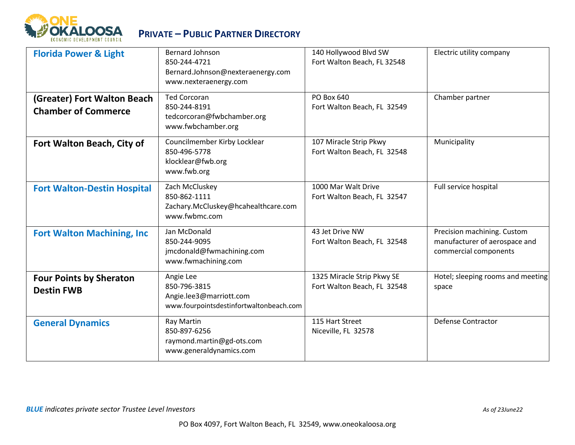

| <b>Florida Power &amp; Light</b>                          | <b>Bernard Johnson</b><br>850-244-4721<br>Bernard.Johnson@nexteraenergy.com<br>www.nexteraenergy.com | 140 Hollywood Blvd SW<br>Fort Walton Beach, FL 32548      | Electric utility company                                                              |
|-----------------------------------------------------------|------------------------------------------------------------------------------------------------------|-----------------------------------------------------------|---------------------------------------------------------------------------------------|
| (Greater) Fort Walton Beach<br><b>Chamber of Commerce</b> | <b>Ted Corcoran</b><br>850-244-8191<br>tedcorcoran@fwbchamber.org<br>www.fwbchamber.org              | <b>PO Box 640</b><br>Fort Walton Beach, FL 32549          | Chamber partner                                                                       |
| Fort Walton Beach, City of                                | Councilmember Kirby Locklear<br>850-496-5778<br>klocklear@fwb.org<br>www.fwb.org                     | 107 Miracle Strip Pkwy<br>Fort Walton Beach, FL 32548     | Municipality                                                                          |
| <b>Fort Walton-Destin Hospital</b>                        | Zach McCluskey<br>850-862-1111<br>Zachary.McCluskey@hcahealthcare.com<br>www.fwbmc.com               | 1000 Mar Walt Drive<br>Fort Walton Beach, FL 32547        | Full service hospital                                                                 |
| <b>Fort Walton Machining, Inc.</b>                        | Jan McDonald<br>850-244-9095<br>jmcdonald@fwmachining.com<br>www.fwmachining.com                     | 43 Jet Drive NW<br>Fort Walton Beach, FL 32548            | Precision machining. Custom<br>manufacturer of aerospace and<br>commercial components |
| <b>Four Points by Sheraton</b><br><b>Destin FWB</b>       | Angie Lee<br>850-796-3815<br>Angie.lee3@marriott.com<br>www.fourpointsdestinfortwaltonbeach.com      | 1325 Miracle Strip Pkwy SE<br>Fort Walton Beach, FL 32548 | Hotel; sleeping rooms and meeting<br>space                                            |
| <b>General Dynamics</b>                                   | Ray Martin<br>850-897-6256<br>raymond.martin@gd-ots.com<br>www.generaldynamics.com                   | 115 Hart Street<br>Niceville, FL 32578                    | <b>Defense Contractor</b>                                                             |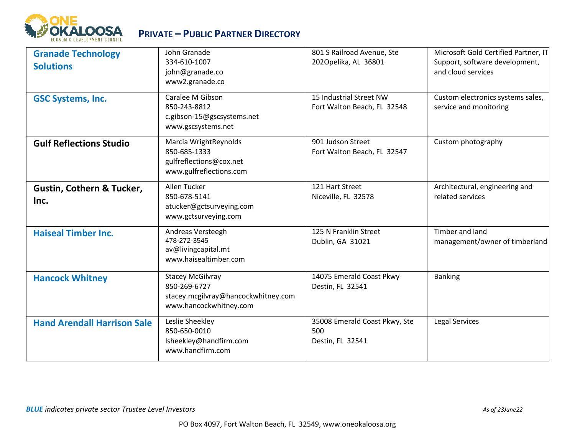

| <b>Granade Technology</b><br><b>Solutions</b> | John Granade<br>334-610-1007<br>john@granade.co<br>www2.granade.co                                       | 801 S Railroad Avenue, Ste<br>2020pelika, AL 36801       | Microsoft Gold Certified Partner, IT<br>Support, software development,<br>and cloud services |
|-----------------------------------------------|----------------------------------------------------------------------------------------------------------|----------------------------------------------------------|----------------------------------------------------------------------------------------------|
| <b>GSC Systems, Inc.</b>                      | Caralee M Gibson<br>850-243-8812<br>c.gibson-15@gscsystems.net<br>www.gscsystems.net                     | 15 Industrial Street NW<br>Fort Walton Beach, FL 32548   | Custom electronics systems sales,<br>service and monitoring                                  |
| <b>Gulf Reflections Studio</b>                | Marcia WrightReynolds<br>850-685-1333<br>gulfreflections@cox.net<br>www.gulfreflections.com              | 901 Judson Street<br>Fort Walton Beach, FL 32547         | Custom photography                                                                           |
| <b>Gustin, Cothern &amp; Tucker,</b><br>Inc.  | Allen Tucker<br>850-678-5141<br>atucker@gctsurveying.com<br>www.gctsurveying.com                         | 121 Hart Street<br>Niceville, FL 32578                   | Architectural, engineering and<br>related services                                           |
| <b>Haiseal Timber Inc.</b>                    | Andreas Versteegh<br>478-272-3545<br>av@livingcapital.mt<br>www.haisealtimber.com                        | 125 N Franklin Street<br>Dublin, GA 31021                | Timber and land<br>management/owner of timberland                                            |
| <b>Hancock Whitney</b>                        | <b>Stacey McGilvray</b><br>850-269-6727<br>stacey.mcgilvray@hancockwhitney.com<br>www.hancockwhitney.com | 14075 Emerald Coast Pkwy<br>Destin, FL 32541             | <b>Banking</b>                                                                               |
| <b>Hand Arendall Harrison Sale</b>            | Leslie Sheekley<br>850-650-0010<br>Isheekley@handfirm.com<br>www.handfirm.com                            | 35008 Emerald Coast Pkwy, Ste<br>500<br>Destin, FL 32541 | Legal Services                                                                               |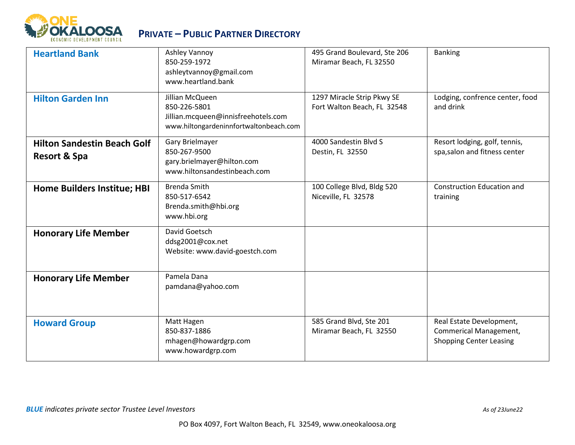

| <b>Heartland Bank</b>                                         | Ashley Vannoy<br>850-259-1972<br>ashleytvannoy@gmail.com<br>www.heartland.bank                                   | 495 Grand Boulevard, Ste 206<br>Miramar Beach, FL 32550   | <b>Banking</b>                                                                              |
|---------------------------------------------------------------|------------------------------------------------------------------------------------------------------------------|-----------------------------------------------------------|---------------------------------------------------------------------------------------------|
| <b>Hilton Garden Inn</b>                                      | Jillian McQueen<br>850-226-5801<br>Jillian.mcqueen@innisfreehotels.com<br>www.hiltongardeninnfortwaltonbeach.com | 1297 Miracle Strip Pkwy SE<br>Fort Walton Beach, FL 32548 | Lodging, confrence center, food<br>and drink                                                |
| <b>Hilton Sandestin Beach Golf</b><br><b>Resort &amp; Spa</b> | Gary Brielmayer<br>850-267-9500<br>gary.brielmayer@hilton.com<br>www.hiltonsandestinbeach.com                    | 4000 Sandestin Blvd S<br>Destin, FL 32550                 | Resort lodging, golf, tennis,<br>spa, salon and fitness center                              |
| Home Builders Institue; HBI                                   | <b>Brenda Smith</b><br>850-517-6542<br>Brenda.smith@hbi.org<br>www.hbi.org                                       | 100 College Blvd, Bldg 520<br>Niceville, FL 32578         | <b>Construction Education and</b><br>training                                               |
| <b>Honorary Life Member</b>                                   | David Goetsch<br>ddsg2001@cox.net<br>Website: www.david-goestch.com                                              |                                                           |                                                                                             |
| <b>Honorary Life Member</b>                                   | Pamela Dana<br>pamdana@yahoo.com                                                                                 |                                                           |                                                                                             |
| <b>Howard Group</b>                                           | Matt Hagen<br>850-837-1886<br>mhagen@howardgrp.com<br>www.howardgrp.com                                          | 585 Grand Blvd, Ste 201<br>Miramar Beach, FL 32550        | Real Estate Development,<br><b>Commerical Management,</b><br><b>Shopping Center Leasing</b> |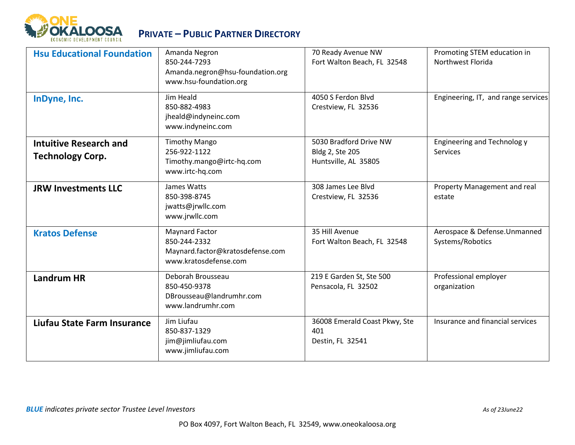

| <b>Hsu Educational Foundation</b>                        | Amanda Negron<br>850-244-7293<br>Amanda.negron@hsu-foundation.org<br>www.hsu-foundation.org | 70 Ready Avenue NW<br>Fort Walton Beach, FL 32548                 | Promoting STEM education in<br>Northwest Florida |
|----------------------------------------------------------|---------------------------------------------------------------------------------------------|-------------------------------------------------------------------|--------------------------------------------------|
| InDyne, Inc.                                             | Jim Heald<br>850-882-4983<br>jheald@indyneinc.com<br>www.indyneinc.com                      | 4050 S Ferdon Blvd<br>Crestview, FL 32536                         | Engineering, IT, and range services              |
| <b>Intuitive Research and</b><br><b>Technology Corp.</b> | <b>Timothy Mango</b><br>256-922-1122<br>Timothy.mango@irtc-hq.com<br>www.irtc-hq.com        | 5030 Bradford Drive NW<br>Bldg 2, Ste 205<br>Huntsville, AL 35805 | Engineering and Technolog y<br>Services          |
| <b>JRW Investments LLC</b>                               | James Watts<br>850-398-8745<br>jwatts@jrwllc.com<br>www.jrwllc.com                          | 308 James Lee Blvd<br>Crestview, FL 32536                         | Property Management and real<br>estate           |
| <b>Kratos Defense</b>                                    | Maynard Factor<br>850-244-2332<br>Maynard.factor@kratosdefense.com<br>www.kratosdefense.com | 35 Hill Avenue<br>Fort Walton Beach, FL 32548                     | Aerospace & Defense.Unmanned<br>Systems/Robotics |
| <b>Landrum HR</b>                                        | Deborah Brousseau<br>850-450-9378<br>DBrousseau@landrumhr.com<br>www.landrumhr.com          | 219 E Garden St, Ste 500<br>Pensacola, FL 32502                   | Professional employer<br>organization            |
| Liufau State Farm Insurance                              | Jim Liufau<br>850-837-1329<br>jim@jimliufau.com<br>www.jimliufau.com                        | 36008 Emerald Coast Pkwy, Ste<br>401<br>Destin, FL 32541          | Insurance and financial services                 |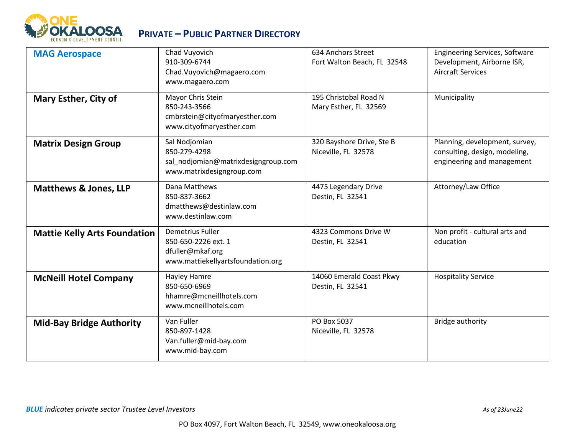

| <b>MAG Aerospace</b>                | Chad Vuyovich<br>910-309-6744<br>Chad.Vuyovich@magaero.com<br>www.magaero.com                     | 634 Anchors Street<br>Fort Walton Beach, FL 32548 | <b>Engineering Services, Software</b><br>Development, Airborne ISR,<br><b>Aircraft Services</b> |
|-------------------------------------|---------------------------------------------------------------------------------------------------|---------------------------------------------------|-------------------------------------------------------------------------------------------------|
| Mary Esther, City of                | Mayor Chris Stein<br>850-243-3566<br>cmbrstein@cityofmaryesther.com<br>www.cityofmaryesther.com   | 195 Christobal Road N<br>Mary Esther, FL 32569    | Municipality                                                                                    |
| <b>Matrix Design Group</b>          | Sal Nodjomian<br>850-279-4298<br>sal nodjomian@matrixdesigngroup.com<br>www.matrixdesigngroup.com | 320 Bayshore Drive, Ste B<br>Niceville, FL 32578  | Planning, development, survey,<br>consulting, design, modeling,<br>engineering and management   |
| <b>Matthews &amp; Jones, LLP</b>    | Dana Matthews<br>850-837-3662<br>dmatthews@destinlaw.com<br>www.destinlaw.com                     | 4475 Legendary Drive<br>Destin, FL 32541          | Attorney/Law Office                                                                             |
| <b>Mattie Kelly Arts Foundation</b> | Demetrius Fuller<br>850-650-2226 ext. 1<br>dfuller@mkaf.org<br>www.mattiekellyartsfoundation.org  | 4323 Commons Drive W<br>Destin, FL 32541          | Non profit - cultural arts and<br>education                                                     |
| <b>McNeill Hotel Company</b>        | Hayley Hamre<br>850-650-6969<br>hhamre@mcneillhotels.com<br>www.mcneillhotels.com                 | 14060 Emerald Coast Pkwy<br>Destin, FL 32541      | <b>Hospitality Service</b>                                                                      |
| <b>Mid-Bay Bridge Authority</b>     | Van Fuller<br>850-897-1428<br>Van.fuller@mid-bay.com<br>www.mid-bay.com                           | PO Box 5037<br>Niceville, FL 32578                | Bridge authority                                                                                |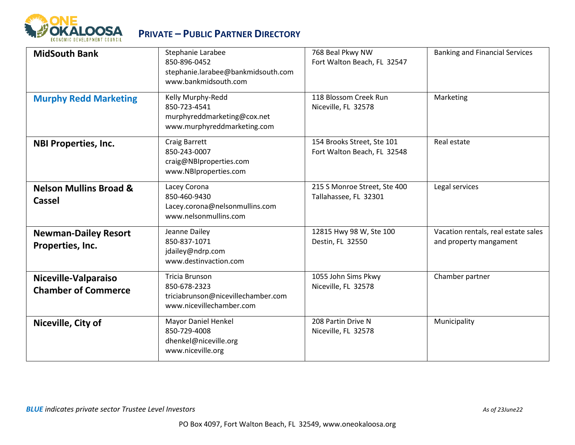

| <b>MidSouth Bank</b>                               | Stephanie Larabee<br>850-896-0452<br>stephanie.larabee@bankmidsouth.com<br>www.bankmidsouth.com  | 768 Beal Pkwy NW<br>Fort Walton Beach, FL 32547           | <b>Banking and Financial Services</b>                         |
|----------------------------------------------------|--------------------------------------------------------------------------------------------------|-----------------------------------------------------------|---------------------------------------------------------------|
| <b>Murphy Redd Marketing</b>                       | Kelly Murphy-Redd<br>850-723-4541<br>murphyreddmarketing@cox.net<br>www.murphyreddmarketing.com  | 118 Blossom Creek Run<br>Niceville, FL 32578              | Marketing                                                     |
| <b>NBI Properties, Inc.</b>                        | <b>Craig Barrett</b><br>850-243-0007<br>craig@NBIproperties.com<br>www.NBIproperties.com         | 154 Brooks Street, Ste 101<br>Fort Walton Beach, FL 32548 | Real estate                                                   |
| <b>Nelson Mullins Broad &amp;</b><br><b>Cassel</b> | Lacey Corona<br>850-460-9430<br>Lacey.corona@nelsonmullins.com<br>www.nelsonmullins.com          | 215 S Monroe Street, Ste 400<br>Tallahassee, FL 32301     | Legal services                                                |
| <b>Newman-Dailey Resort</b><br>Properties, Inc.    | Jeanne Dailey<br>850-837-1071<br>jdailey@ndrp.com<br>www.destinvaction.com                       | 12815 Hwy 98 W, Ste 100<br>Destin, FL 32550               | Vacation rentals, real estate sales<br>and property mangament |
| Niceville-Valparaiso<br><b>Chamber of Commerce</b> | Tricia Brunson<br>850-678-2323<br>triciabrunson@nicevillechamber.com<br>www.nicevillechamber.com | 1055 John Sims Pkwy<br>Niceville, FL 32578                | Chamber partner                                               |
| Niceville, City of                                 | Mayor Daniel Henkel<br>850-729-4008<br>dhenkel@niceville.org<br>www.niceville.org                | 208 Partin Drive N<br>Niceville, FL 32578                 | Municipality                                                  |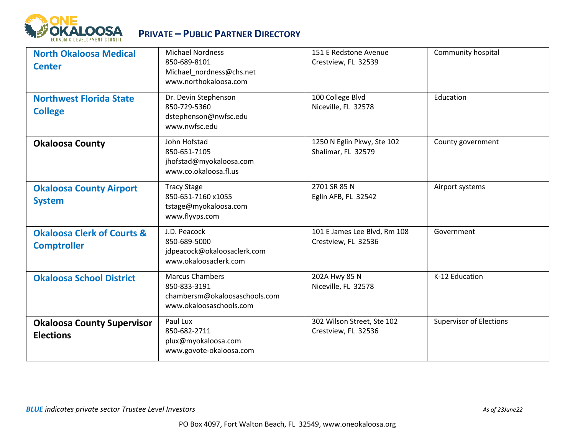

| <b>North Okaloosa Medical</b><br><b>Center</b>              | <b>Michael Nordness</b><br>850-689-8101<br>Michael nordness@chs.net<br>www.northokaloosa.com       | 151 E Redstone Avenue<br>Crestview, FL 32539        | Community hospital             |
|-------------------------------------------------------------|----------------------------------------------------------------------------------------------------|-----------------------------------------------------|--------------------------------|
| <b>Northwest Florida State</b><br><b>College</b>            | Dr. Devin Stephenson<br>850-729-5360<br>dstephenson@nwfsc.edu<br>www.nwfsc.edu                     | 100 College Blvd<br>Niceville, FL 32578             | Education                      |
| <b>Okaloosa County</b>                                      | John Hofstad<br>850-651-7105<br>jhofstad@myokaloosa.com<br>www.co.okaloosa.fl.us                   | 1250 N Eglin Pkwy, Ste 102<br>Shalimar, FL 32579    | County government              |
| <b>Okaloosa County Airport</b><br><b>System</b>             | <b>Tracy Stage</b><br>850-651-7160 x1055<br>tstage@myokaloosa.com<br>www.flyvps.com                | 2701 SR 85 N<br>Eglin AFB, FL 32542                 | Airport systems                |
| <b>Okaloosa Clerk of Courts &amp;</b><br><b>Comptroller</b> | J.D. Peacock<br>850-689-5000<br>jdpeacock@okaloosaclerk.com<br>www.okaloosaclerk.com               | 101 E James Lee Blvd, Rm 108<br>Crestview, FL 32536 | Government                     |
| <b>Okaloosa School District</b>                             | <b>Marcus Chambers</b><br>850-833-3191<br>chambersm@okaloosaschools.com<br>www.okaloosaschools.com | 202A Hwy 85 N<br>Niceville, FL 32578                | K-12 Education                 |
| <b>Okaloosa County Supervisor</b><br><b>Elections</b>       | Paul Lux<br>850-682-2711<br>plux@myokaloosa.com<br>www.govote-okaloosa.com                         | 302 Wilson Street, Ste 102<br>Crestview, FL 32536   | <b>Supervisor of Elections</b> |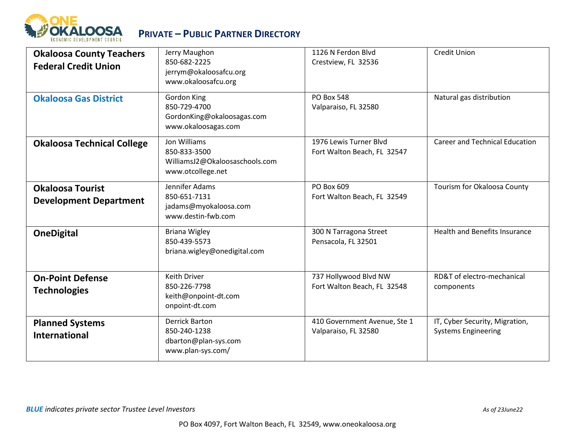

| <b>Okaloosa County Teachers</b><br><b>Federal Credit Union</b> | Jerry Maughon<br>850-682-2225<br>jerrym@okaloosafcu.org<br>www.okaloosafcu.org      | 1126 N Ferdon Blvd<br>Crestview, FL 32536             | <b>Credit Union</b>                                          |
|----------------------------------------------------------------|-------------------------------------------------------------------------------------|-------------------------------------------------------|--------------------------------------------------------------|
| <b>Okaloosa Gas District</b>                                   | Gordon King<br>850-729-4700<br>GordonKing@okaloosagas.com<br>www.okaloosagas.com    | <b>PO Box 548</b><br>Valparaiso, FL 32580             | Natural gas distribution                                     |
| <b>Okaloosa Technical College</b>                              | Jon Williams<br>850-833-3500<br>WilliamsJ2@Okaloosaschools.com<br>www.otcollege.net | 1976 Lewis Turner Blvd<br>Fort Walton Beach, FL 32547 | <b>Career and Technical Education</b>                        |
| <b>Okaloosa Tourist</b><br><b>Development Department</b>       | Jennifer Adams<br>850-651-7131<br>jadams@myokaloosa.com<br>www.destin-fwb.com       | PO Box 609<br>Fort Walton Beach, FL 32549             | Tourism for Okaloosa County                                  |
| <b>OneDigital</b>                                              | <b>Briana Wigley</b><br>850-439-5573<br>briana.wigley@onedigital.com                | 300 N Tarragona Street<br>Pensacola, FL 32501         | Health and Benefits Insurance                                |
| <b>On-Point Defense</b><br><b>Technologies</b>                 | <b>Keith Driver</b><br>850-226-7798<br>keith@onpoint-dt.com<br>onpoint-dt.com       | 737 Hollywood Blvd NW<br>Fort Walton Beach, FL 32548  | RD&T of electro-mechanical<br>components                     |
| <b>Planned Systems</b><br><b>International</b>                 | <b>Derrick Barton</b><br>850-240-1238<br>dbarton@plan-sys.com<br>www.plan-sys.com/  | 410 Government Avenue, Ste 1<br>Valparaiso, FL 32580  | IT, Cyber Security, Migration,<br><b>Systems Engineering</b> |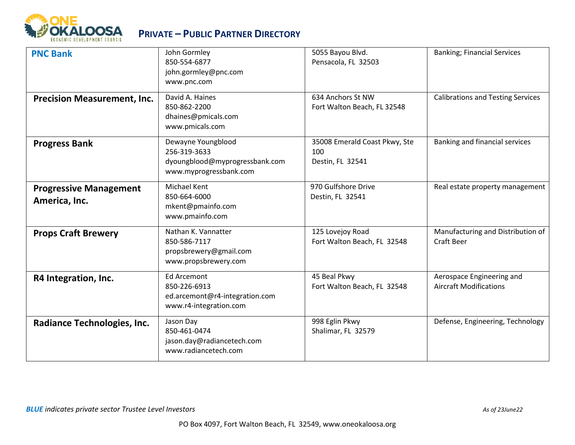

| <b>PNC Bank</b>                                | John Gormley<br>850-554-6877<br>john.gormley@pnc.com<br>www.pnc.com                            | 5055 Bayou Blvd.<br>Pensacola, FL 32503                  | <b>Banking; Financial Services</b>                         |
|------------------------------------------------|------------------------------------------------------------------------------------------------|----------------------------------------------------------|------------------------------------------------------------|
| <b>Precision Measurement, Inc.</b>             | David A. Haines<br>850-862-2200<br>dhaines@pmicals.com<br>www.pmicals.com                      | 634 Anchors St NW<br>Fort Walton Beach, FL 32548         | <b>Calibrations and Testing Services</b>                   |
| <b>Progress Bank</b>                           | Dewayne Youngblood<br>256-319-3633<br>dyoungblood@myprogressbank.com<br>www.myprogressbank.com | 35008 Emerald Coast Pkwy, Ste<br>100<br>Destin, FL 32541 | Banking and financial services                             |
| <b>Progressive Management</b><br>America, Inc. | <b>Michael Kent</b><br>850-664-6000<br>mkent@pmainfo.com<br>www.pmainfo.com                    | 970 Gulfshore Drive<br>Destin, FL 32541                  | Real estate property management                            |
| <b>Props Craft Brewery</b>                     | Nathan K. Vannatter<br>850-586-7117<br>propsbrewery@gmail.com<br>www.propsbrewery.com          | 125 Lovejoy Road<br>Fort Walton Beach, FL 32548          | Manufacturing and Distribution of<br><b>Craft Beer</b>     |
| R4 Integration, Inc.                           | <b>Ed Arcemont</b><br>850-226-6913<br>ed.arcemont@r4-integration.com<br>www.r4-integration.com | 45 Beal Pkwy<br>Fort Walton Beach, FL 32548              | Aerospace Engineering and<br><b>Aircraft Modifications</b> |
| Radiance Technologies, Inc.                    | Jason Day<br>850-461-0474<br>jason.day@radiancetech.com<br>www.radiancetech.com                | 998 Eglin Pkwy<br>Shalimar, FL 32579                     | Defense, Engineering, Technology                           |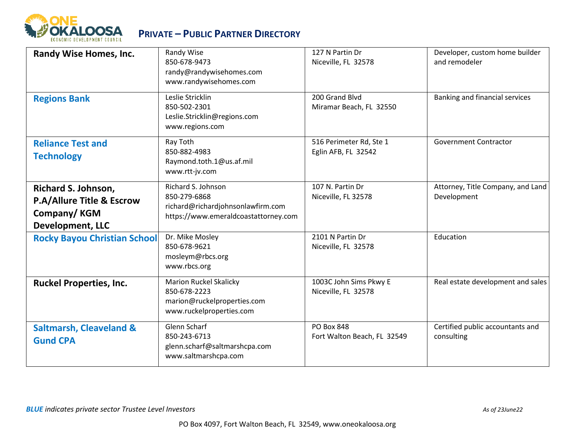

| <b>Randy Wise Homes, Inc.</b>                                                                                | Randy Wise<br>850-678-9473<br>randy@randywisehomes.com<br>www.randywisehomes.com                                | 127 N Partin Dr<br>Niceville, FL 32578           | Developer, custom home builder<br>and remodeler  |
|--------------------------------------------------------------------------------------------------------------|-----------------------------------------------------------------------------------------------------------------|--------------------------------------------------|--------------------------------------------------|
| <b>Regions Bank</b>                                                                                          | Leslie Stricklin<br>850-502-2301<br>Leslie.Stricklin@regions.com<br>www.regions.com                             | 200 Grand Blvd<br>Miramar Beach, FL 32550        | Banking and financial services                   |
| <b>Reliance Test and</b><br><b>Technology</b>                                                                | Ray Toth<br>850-882-4983<br>Raymond.toth.1@us.af.mil<br>www.rtt-jv.com                                          | 516 Perimeter Rd, Ste 1<br>Eglin AFB, FL 32542   | <b>Government Contractor</b>                     |
| <b>Richard S. Johnson,</b><br><b>P.A/Allure Title &amp; Escrow</b><br>Company/KGM<br><b>Development, LLC</b> | Richard S. Johnson<br>850-279-6868<br>richard@richardjohnsonlawfirm.com<br>https://www.emeraldcoastattorney.com | 107 N. Partin Dr<br>Niceville, FL 32578          | Attorney, Title Company, and Land<br>Development |
| <b>Rocky Bayou Christian School</b>                                                                          | Dr. Mike Mosley<br>850-678-9621<br>mosleym@rbcs.org<br>www.rbcs.org                                             | 2101 N Partin Dr<br>Niceville, FL 32578          | Education                                        |
| <b>Ruckel Properties, Inc.</b>                                                                               | <b>Marion Ruckel Skalicky</b><br>850-678-2223<br>marion@ruckelproperties.com<br>www.ruckelproperties.com        | 1003C John Sims Pkwy E<br>Niceville, FL 32578    | Real estate development and sales                |
| <b>Saltmarsh, Cleaveland &amp;</b><br><b>Gund CPA</b>                                                        | <b>Glenn Scharf</b><br>850-243-6713<br>glenn.scharf@saltmarshcpa.com<br>www.saltmarshcpa.com                    | <b>PO Box 848</b><br>Fort Walton Beach, FL 32549 | Certified public accountants and<br>consulting   |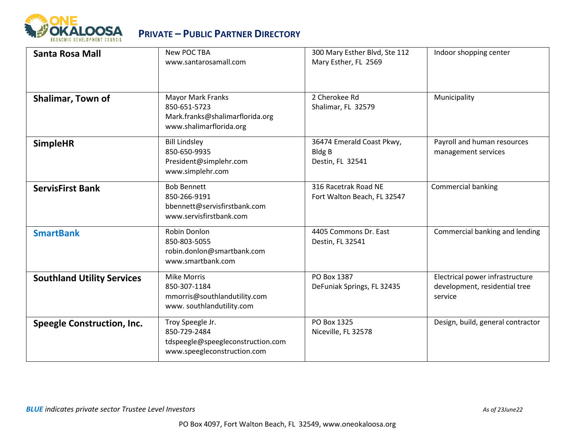

| Santa Rosa Mall                   | New POC TBA<br>www.santarosamall.com                                                                   | 300 Mary Esther Blvd, Ste 112<br>Mary Esther, FL 2569          | Indoor shopping center                                                      |
|-----------------------------------|--------------------------------------------------------------------------------------------------------|----------------------------------------------------------------|-----------------------------------------------------------------------------|
| Shalimar, Town of                 | <b>Mayor Mark Franks</b><br>850-651-5723<br>Mark.franks@shalimarflorida.org<br>www.shalimarflorida.org | 2 Cherokee Rd<br>Shalimar, FL 32579                            | Municipality                                                                |
| <b>SimpleHR</b>                   | <b>Bill Lindsley</b><br>850-650-9935<br>President@simplehr.com<br>www.simplehr.com                     | 36474 Emerald Coast Pkwy,<br><b>Bldg B</b><br>Destin, FL 32541 | Payroll and human resources<br>management services                          |
| <b>ServisFirst Bank</b>           | <b>Bob Bennett</b><br>850-266-9191<br>bbennett@servisfirstbank.com<br>www.servisfirstbank.com          | 316 Racetrak Road NE<br>Fort Walton Beach, FL 32547            | Commercial banking                                                          |
| <b>SmartBank</b>                  | Robin Donlon<br>850-803-5055<br>robin.donlon@smartbank.com<br>www.smartbank.com                        | 4405 Commons Dr. East<br>Destin, FL 32541                      | Commercial banking and lending                                              |
| <b>Southland Utility Services</b> | <b>Mike Morris</b><br>850-307-1184<br>mmorris@southlandutility.com<br>www.southlandutility.com         | PO Box 1387<br>DeFuniak Springs, FL 32435                      | Electrical power infrastructure<br>development, residential tree<br>service |
| <b>Speegle Construction, Inc.</b> | Troy Speegle Jr.<br>850-729-2484<br>tdspeegle@speegleconstruction.com<br>www.speegleconstruction.com   | PO Box 1325<br>Niceville, FL 32578                             | Design, build, general contractor                                           |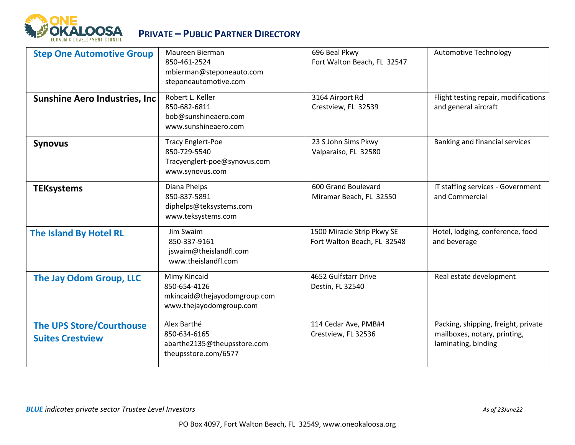

| <b>Step One Automotive Group</b>                           | Maureen Bierman<br>850-461-2524<br>mbierman@steponeauto.com<br>steponeautomotive.com        | 696 Beal Pkwy<br>Fort Walton Beach, FL 32547              | <b>Automotive Technology</b>                                                               |
|------------------------------------------------------------|---------------------------------------------------------------------------------------------|-----------------------------------------------------------|--------------------------------------------------------------------------------------------|
| <b>Sunshine Aero Industries, Inc</b>                       | Robert L. Keller<br>850-682-6811<br>bob@sunshineaero.com<br>www.sunshineaero.com            | 3164 Airport Rd<br>Crestview, FL 32539                    | Flight testing repair, modifications<br>and general aircraft                               |
| <b>Synovus</b>                                             | <b>Tracy Englert-Poe</b><br>850-729-5540<br>Tracyenglert-poe@synovus.com<br>www.synovus.com | 23 S John Sims Pkwy<br>Valparaiso, FL 32580               | Banking and financial services                                                             |
| <b>TEKsystems</b>                                          | Diana Phelps<br>850-837-5891<br>diphelps@teksystems.com<br>www.teksystems.com               | 600 Grand Boulevard<br>Miramar Beach, FL 32550            | IT staffing services - Government<br>and Commercial                                        |
| The Island By Hotel RL                                     | Jim Swaim<br>850-337-9161<br>jswaim@theislandfl.com<br>www.theislandfl.com                  | 1500 Miracle Strip Pkwy SE<br>Fort Walton Beach, FL 32548 | Hotel, lodging, conference, food<br>and beverage                                           |
| The Jay Odom Group, LLC                                    | Mimy Kincaid<br>850-654-4126<br>mkincaid@thejayodomgroup.com<br>www.thejayodomgroup.com     | 4652 Gulfstarr Drive<br>Destin, FL 32540                  | Real estate development                                                                    |
| <b>The UPS Store/Courthouse</b><br><b>Suites Crestview</b> | Alex Barthé<br>850-634-6165<br>abarthe2135@theupsstore.com<br>theupsstore.com/6577          | 114 Cedar Ave, PMB#4<br>Crestview, FL 32536               | Packing, shipping, freight, private<br>mailboxes, notary, printing,<br>laminating, binding |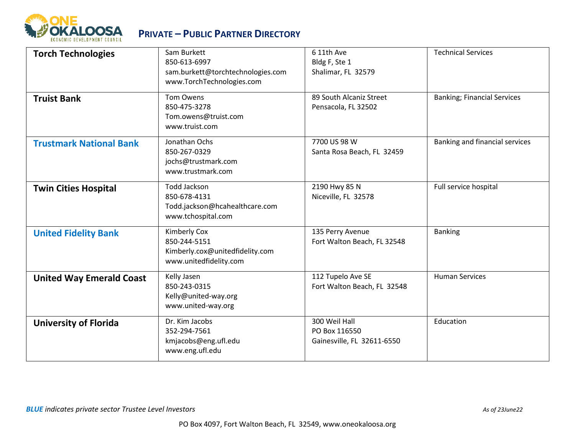

| <b>Torch Technologies</b>       | Sam Burkett<br>850-613-6997<br>sam.burkett@torchtechnologies.com<br>www.TorchTechnologies.com | 6 11th Ave<br>Bldg F, Ste 1<br>Shalimar, FL 32579            | <b>Technical Services</b>          |
|---------------------------------|-----------------------------------------------------------------------------------------------|--------------------------------------------------------------|------------------------------------|
| <b>Truist Bank</b>              | Tom Owens<br>850-475-3278<br>Tom.owens@truist.com<br>www.truist.com                           | 89 South Alcaniz Street<br>Pensacola, FL 32502               | <b>Banking; Financial Services</b> |
| <b>Trustmark National Bank</b>  | Jonathan Ochs<br>850-267-0329<br>jochs@trustmark.com<br>www.trustmark.com                     | 7700 US 98 W<br>Santa Rosa Beach, FL 32459                   | Banking and financial services     |
| <b>Twin Cities Hospital</b>     | <b>Todd Jackson</b><br>850-678-4131<br>Todd.jackson@hcahealthcare.com<br>www.tchospital.com   | 2190 Hwy 85 N<br>Niceville, FL 32578                         | Full service hospital              |
| <b>United Fidelity Bank</b>     | Kimberly Cox<br>850-244-5151<br>Kimberly.cox@unitedfidelity.com<br>www.unitedfidelity.com     | 135 Perry Avenue<br>Fort Walton Beach, FL 32548              | <b>Banking</b>                     |
| <b>United Way Emerald Coast</b> | Kelly Jasen<br>850-243-0315<br>Kelly@united-way.org<br>www.united-way.org                     | 112 Tupelo Ave SE<br>Fort Walton Beach, FL 32548             | <b>Human Services</b>              |
| <b>University of Florida</b>    | Dr. Kim Jacobs<br>352-294-7561<br>kmjacobs@eng.ufl.edu<br>www.eng.ufl.edu                     | 300 Weil Hall<br>PO Box 116550<br>Gainesville, FL 32611-6550 | Education                          |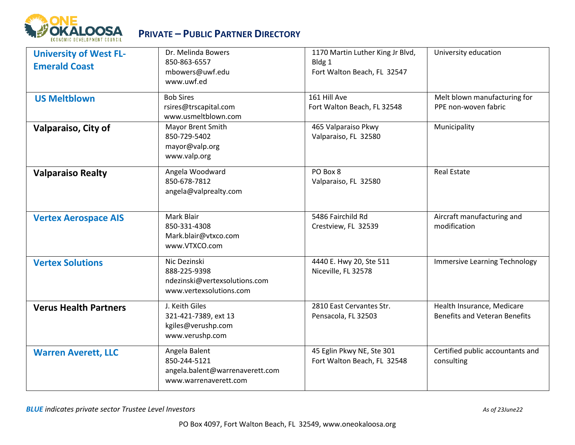

| <b>University of West FL-</b><br><b>Emerald Coast</b> | Dr. Melinda Bowers<br>850-863-6557<br>mbowers@uwf.edu<br>www.uwf.ed                       | 1170 Martin Luther King Jr Blvd,<br>Bldg 1<br>Fort Walton Beach, FL 32547 | University education                                               |
|-------------------------------------------------------|-------------------------------------------------------------------------------------------|---------------------------------------------------------------------------|--------------------------------------------------------------------|
| <b>US Meltblown</b>                                   | <b>Bob Sires</b><br>rsires@trscapital.com<br>www.usmeltblown.com                          | 161 Hill Ave<br>Fort Walton Beach, FL 32548                               | Melt blown manufacturing for<br>PPE non-woven fabric               |
| Valparaiso, City of                                   | Mayor Brent Smith<br>850-729-5402<br>mayor@valp.org<br>www.valp.org                       | 465 Valparaiso Pkwy<br>Valparaiso, FL 32580                               | Municipality                                                       |
| <b>Valparaiso Realty</b>                              | Angela Woodward<br>850-678-7812<br>angela@valprealty.com                                  | PO Box 8<br>Valparaiso, FL 32580                                          | <b>Real Estate</b>                                                 |
| <b>Vertex Aerospace AIS</b>                           | Mark Blair<br>850-331-4308<br>Mark.blair@vtxco.com<br>www.VTXCO.com                       | 5486 Fairchild Rd<br>Crestview, FL 32539                                  | Aircraft manufacturing and<br>modification                         |
| <b>Vertex Solutions</b>                               | Nic Dezinski<br>888-225-9398<br>ndezinski@vertexsolutions.com<br>www.vertexsolutions.com  | 4440 E. Hwy 20, Ste 511<br>Niceville, FL 32578                            | <b>Immersive Learning Technology</b>                               |
| <b>Verus Health Partners</b>                          | J. Keith Giles<br>321-421-7389, ext 13<br>kgiles@verushp.com<br>www.verushp.com           | 2810 East Cervantes Str.<br>Pensacola, FL 32503                           | Health Insurance, Medicare<br><b>Benefits and Veteran Benefits</b> |
| <b>Warren Averett, LLC</b>                            | Angela Balent<br>850-244-5121<br>angela.balent@warrenaverett.com<br>www.warrenaverett.com | 45 Eglin Pkwy NE, Ste 301<br>Fort Walton Beach, FL 32548                  | Certified public accountants and<br>consulting                     |